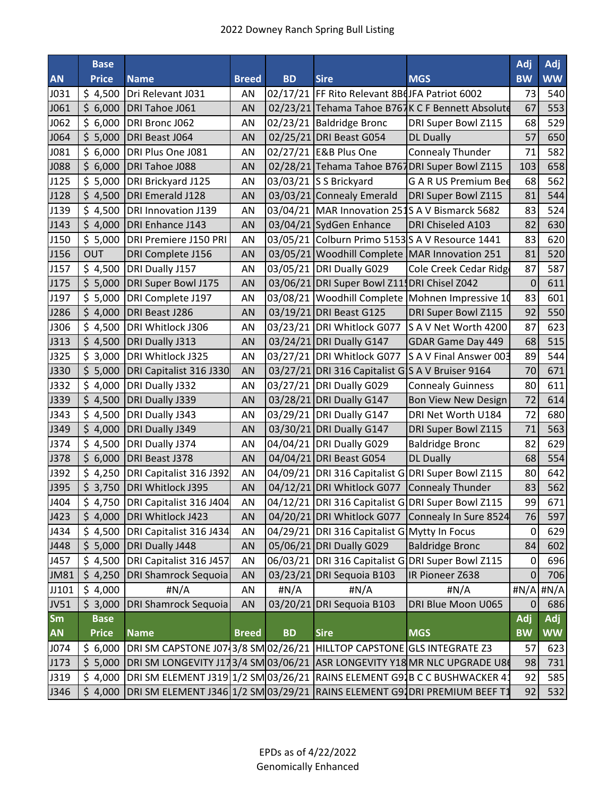|             | <b>Base</b>  |                                                                                 |              |           |                                                  |                                                  | Adj            | Adj             |
|-------------|--------------|---------------------------------------------------------------------------------|--------------|-----------|--------------------------------------------------|--------------------------------------------------|----------------|-----------------|
| <b>AN</b>   | <b>Price</b> | <b>Name</b>                                                                     | <b>Breed</b> | <b>BD</b> | <b>Sire</b><br><b>MGS</b>                        |                                                  | <b>BW</b>      | <b>WW</b>       |
| J031        | \$4,500      | Dri Relevant J031                                                               | AN           |           | 02/17/21  FF Rito Relevant 8BdJFA Patriot 6002   | 73                                               | 540            |                 |
| J061        |              | \$ 6,000 DRI Tahoe J061                                                         | AN           |           | 02/23/21 Tehama Tahoe B767K C F Bennett Absolute |                                                  | 67             | 553             |
| J062        | \$6,000      | DRI Bronc J062                                                                  | ΑN           |           | 02/23/21 Baldridge Bronc                         | DRI Super Bowl Z115                              | 68             | 529             |
| J064        | \$5,000      | DRI Beast J064                                                                  | AN           |           | 02/25/21 DRI Beast G054                          | <b>DL Dually</b>                                 | 57             | 650             |
| J081        | \$6,000      | DRI Plus One J081                                                               | ΑN           |           | 02/27/21 E&B Plus One                            | <b>Connealy Thunder</b>                          | 71             | 582             |
| J088        | \$6,000      | DRI Tahoe J088                                                                  | AN           |           |                                                  | 02/28/21 Tehama Tahoe B767DRI Super Bowl Z115    | 103            | 658             |
| J125        |              | \$5,000 DRI Brickyard J125                                                      | AN           |           | 03/03/21 S S Brickyard                           | <b>GARUS Premium Bee</b>                         | 68             | 562             |
| J128        |              | \$4,500 DRI Emerald J128                                                        | AN           |           | 03/03/21 Connealy Emerald                        | DRI Super Bowl Z115                              | 81             | 544             |
| J139        |              | \$4,500 DRI Innovation J139                                                     | AN           |           |                                                  | 03/04/21 MAR Innovation 251S A V Bismarck 5682   | 83             | 524             |
| J143        |              | \$4,000 DRI Enhance J143                                                        | AN           |           | 03/04/21 SydGen Enhance                          | DRI Chiseled A103                                | 82             | 630             |
| J150        |              | \$5,000 DRI Premiere J150 PRI                                                   | AN           |           |                                                  | 03/05/21 Colburn Primo 5153S A V Resource 1441   | 83             | 620             |
| J156        | <b>OUT</b>   | DRI Complete J156                                                               | AN           |           |                                                  | 03/05/21 Woodhill Complete MAR Innovation 251    | 81             | 520             |
| J157        | \$4,500      | DRI Dually J157                                                                 | AN           |           | 03/05/21 DRI Dually G029                         | Cole Creek Cedar Ridge                           | 87             | 587             |
| J175        |              | \$5,000 DRI Super Bowl J175                                                     | AN           |           | 03/06/21 DRI Super Bowl Z11 DRI Chisel Z042      |                                                  | $\mathbf 0$    | 611             |
| J197        | \$5,000      | DRI Complete J197                                                               | ΑN           |           |                                                  | 03/08/21 Woodhill Complete Mohnen Impressive 10  | 83             | 601             |
| J286        |              | \$4,000 DRI Beast J286                                                          | AN           |           | 03/19/21 DRI Beast G125                          | DRI Super Bowl Z115                              | 92             | 550             |
| J306        |              | \$4,500 DRI Whitlock J306                                                       | AN           |           | 03/23/21 DRI Whitlock G077                       | S A V Net Worth 4200                             | 87             | 623             |
| J313        |              | \$4,500 DRI Dually J313                                                         | AN           |           | 03/24/21 DRI Dually G147                         | GDAR Game Day 449                                | 68             | 515             |
| J325        | \$3,000      | DRI Whitlock J325                                                               | ΑN           |           | 03/27/21 DRI Whitlock G077                       | S A V Final Answer 003                           | 89             | 544             |
| <b>J330</b> |              | \$5,000   DRI Capitalist 316 J330                                               | AN           |           | 03/27/21 DRI 316 Capitalist GS A V Bruiser 9164  |                                                  | 70             | 671             |
| J332        |              | \$4,000 DRI Dually J332                                                         | AN           |           | 03/27/21 DRI Dually G029                         | <b>Connealy Guinness</b>                         | 80             | 611             |
| J339        |              | \$4,500   DRI Dually J339                                                       | AN           |           | 03/28/21 DRI Dually G147                         | Bon View New Design                              | 72             | 614             |
| J343        | \$4,500      | DRI Dually J343                                                                 | AN           |           | 03/29/21 DRI Dually G147                         | DRI Net Worth U184                               | 72             | 680             |
| J349        |              | \$4,000 DRI Dually J349                                                         | AN           |           | 03/30/21 DRI Dually G147                         | DRI Super Bowl Z115                              | 71             | 563             |
| J374        | \$4,500      | DRI Dually J374                                                                 | AN           |           | 04/04/21 DRI Dually G029                         | <b>Baldridge Bronc</b>                           | 82             | 629             |
| J378        |              | \$ 6,000 DRI Beast J378                                                         | AN           |           | 04/04/21 DRI Beast G054                          | <b>DL Dually</b>                                 | 68             | 554             |
| J392        |              | \$4,250 DRI Capitalist 316 J392                                                 | ΑN           |           |                                                  | 04/09/21 DRI 316 Capitalist GDRI Super Bowl Z115 | 80             | 642             |
| J395        |              | \$ 3,750 DRI Whitlock J395                                                      | AN           |           | 04/12/21 DRI Whitlock G077                       | <b>Connealy Thunder</b>                          | 83             | 562             |
| J404        |              | \$ 4,750 DRI Capitalist 316 J404                                                | AN           |           |                                                  | 04/12/21 DRI 316 Capitalist GDRI Super Bowl Z115 | 99             | 671             |
| J423        |              | \$4,000 DRI Whitlock J423                                                       | AN           |           | 04/20/21 DRI Whitlock G077                       | Connealy In Sure 8524                            | 76             | 597             |
| J434        | \$4,500      | DRI Capitalist 316 J434                                                         | AN           |           | 04/29/21 DRI 316 Capitalist G Mytty In Focus     |                                                  | 0              | 629             |
| J448        |              | \$5,000 DRI Dually J448                                                         | AN           |           | 05/06/21 DRI Dually G029                         | <b>Baldridge Bronc</b>                           | 84             | 602             |
| J457        |              | \$4,500 DRI Capitalist 316 J457                                                 | AN           |           |                                                  | 06/03/21 DRI 316 Capitalist GDRI Super Bowl Z115 | 0              | 696             |
| <b>JM81</b> | \$4,250      | <b>DRI Shamrock Sequoia</b>                                                     | AN           |           | 03/23/21 DRI Sequoia B103                        | IR Pioneer Z638                                  | $\pmb{0}$      | 706             |
| JJ101       | \$4,000      | #N/A                                                                            | AN           | #N/A      | #N/A                                             | H N/A                                            |                | $\#N/A$ $\#N/A$ |
| <b>JV51</b> | \$3,000      | <b>DRI Shamrock Sequoia</b>                                                     | AN           |           | 03/20/21 DRI Sequoia B103                        | DRI Blue Moon U065                               | $\overline{0}$ | 686             |
| <b>Sm</b>   | <b>Base</b>  |                                                                                 |              |           |                                                  |                                                  | Adj            | Adj             |
| <b>AN</b>   | <b>Price</b> | <b>Name</b>                                                                     | <b>Breed</b> | <b>BD</b> | <b>Sire</b>                                      | <b>MGS</b>                                       | <b>BW</b>      | <b>WW</b>       |
| J074        |              | \$6,000 DRI SM CAPSTONE J07 3/8 SM 02/26/21 HILLTOP CAPSTONE GLS INTEGRATE Z3   |              |           |                                                  |                                                  | 57             | 623             |
| J173        |              | \$5,000 DRI SM LONGEVITY J173/4 SM 03/06/21 ASR LONGEVITY Y18 MR NLC UPGRADE U8 |              |           |                                                  |                                                  | 98             | 731             |
| J319        | \$4,000      | DRI SM ELEMENT J319 1/2 SM 03/26/21 RAINS ELEMENT G91B C C BUSHWACKER 4:        |              |           |                                                  |                                                  | 92             | 585             |
| J346        | \$4,000      | DRI SM ELEMENT J346 1/2 SM 03/29/21 RAINS ELEMENT G91 DRI PREMIUM BEEF T1       |              |           |                                                  |                                                  | 92             | 532             |